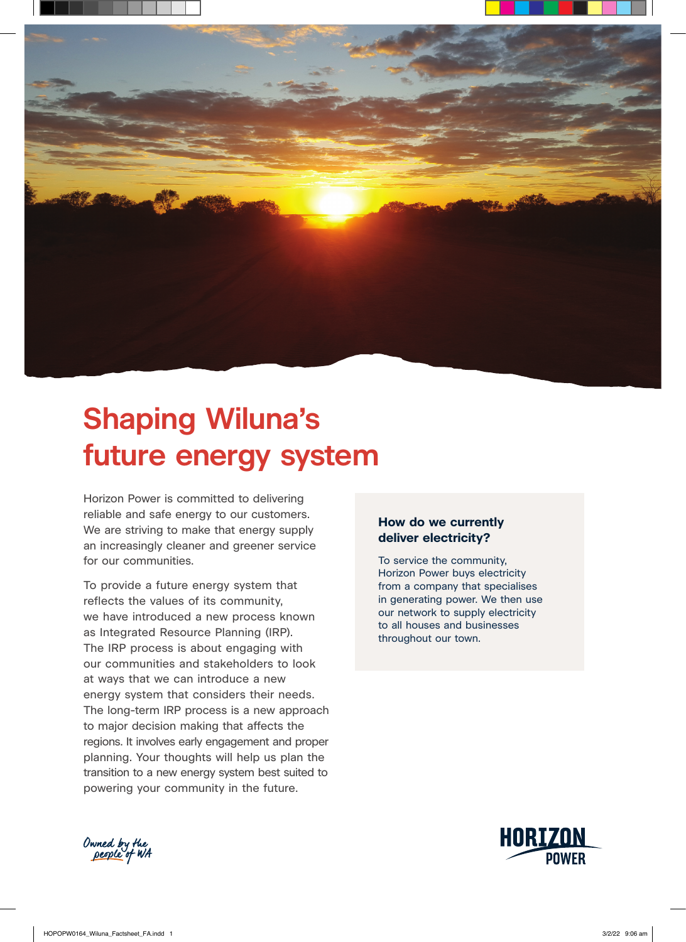

# **Shaping Wiluna's future energy system**

Horizon Power is committed to delivering reliable and safe energy to our customers. We are striving to make that energy supply an increasingly cleaner and greener service for our communities.

To provide a future energy system that reflects the values of its community, we have introduced a new process known as Integrated Resource Planning (IRP). The IRP process is about engaging with our communities and stakeholders to look at ways that we can introduce a new energy system that considers their needs. The long-term IRP process is a new approach to major decision making that affects the regions. It involves early engagement and proper planning. Your thoughts will help us plan the transition to a new energy system best suited to powering your community in the future.

# **How do we currently deliver electricity?**

To service the community, Horizon Power buys electricity from a company that specialises in generating power. We then use our network to supply electricity to all houses and businesses throughout our town.



Owned by the<br>people of WA